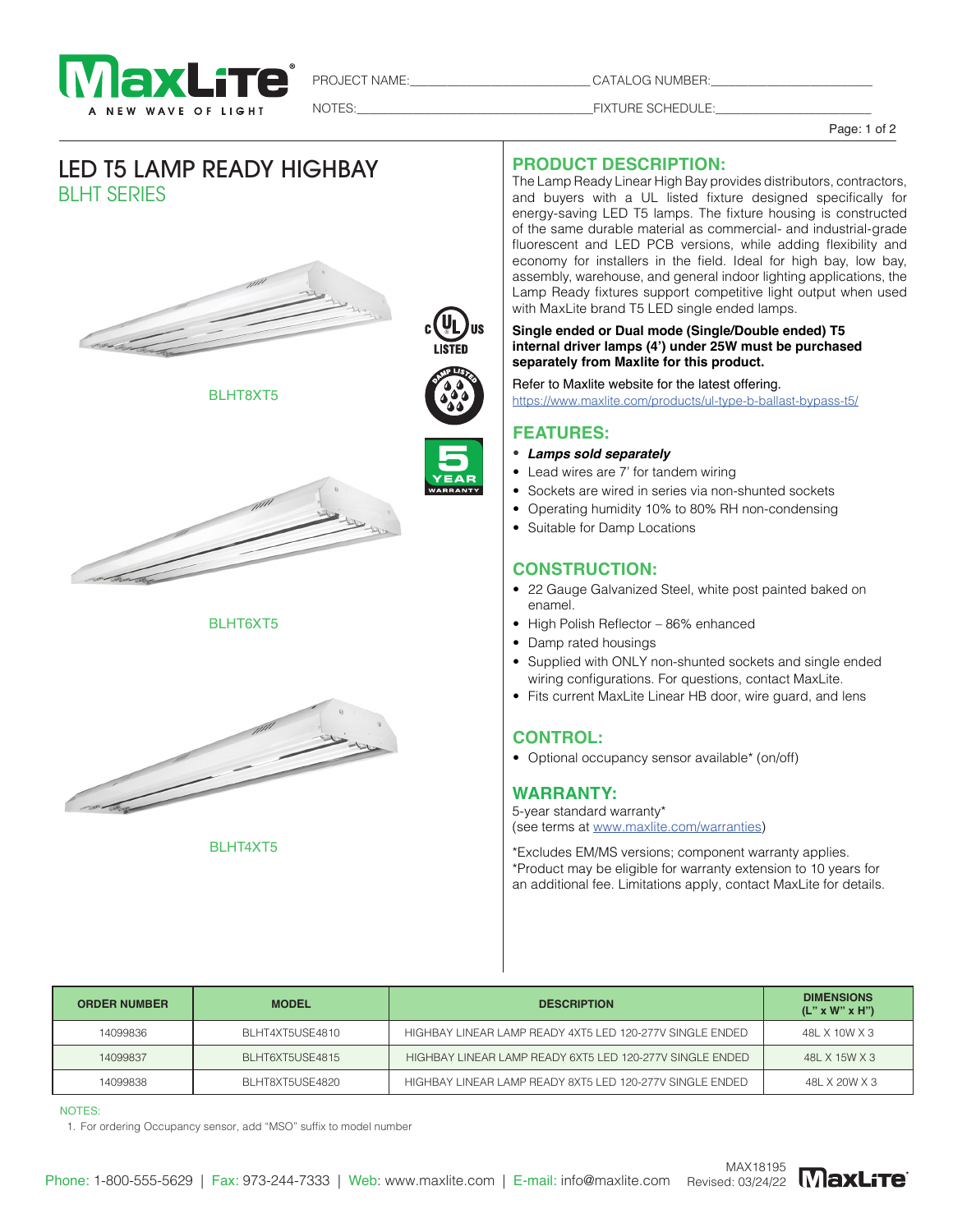

PROJECT NAME:\_\_\_\_\_\_\_\_\_\_\_\_\_\_\_\_\_\_\_\_\_\_\_\_\_\_\_\_\_ CATALOG NUMBER:\_\_\_\_\_\_\_\_\_\_\_\_\_\_\_\_\_\_\_\_\_\_\_\_\_\_

NOTES:\_\_\_\_\_\_\_\_\_\_\_\_\_\_\_\_\_\_\_\_\_\_\_\_\_\_\_\_\_\_\_\_\_\_\_\_\_\_FIXTURE SCHEDULE:\_\_\_\_\_\_\_\_\_\_\_\_\_\_\_\_\_\_\_\_\_\_\_\_\_

Page: 1 of 2

# LED T5 LAMP READY HIGHBAY BLHT SERIES











BLHT4XT5

#### **PRODUCT DESCRIPTION:**

The Lamp Ready Linear High Bay provides distributors, contractors, and buyers with a UL listed fixture designed specifically for energy-saving LED T5 lamps. The fixture housing is constructed of the same durable material as commercial- and industrial-grade fluorescent and LED PCB versions, while adding flexibility and economy for installers in the field. Ideal for high bay, low bay, assembly, warehouse, and general indoor lighting applications, the Lamp Ready fixtures support competitive light output when used with MaxLite brand T5 LED single ended lamps.

#### **Single ended or Dual mode (Single/Double ended) T5 internal driver lamps (4') under 25W must be purchased separately from Maxlite for this product.**

Refer to Maxlite website for the latest offering. https://www.maxlite.com/products/ul-type-b-ballast-bypass-t5/

#### **FEATURES:**

#### • **Lamps sold separately**

- Lead wires are 7' for tandem wiring
- Sockets are wired in series via non-shunted sockets
- Operating humidity 10% to 80% RH non-condensing
- Suitable for Damp Locations

## **CONSTRUCTION:**

- 22 Gauge Galvanized Steel, white post painted baked on enamel.
- High Polish Reflector 86% enhanced
- Damp rated housings
- Supplied with ONLY non-shunted sockets and single ended wiring configurations. For questions, contact MaxLite.
- Fits current MaxLite Linear HB door, wire guard, and lens

## **CONTROL:**

• Optional occupancy sensor available\* (on/off)

## **WARRANTY:**

5-year standard warranty\* (see terms at www.maxlite.com/warranties)

\*Excludes EM/MS versions; component warranty applies. \*Product may be eligible for warranty extension to 10 years for an additional fee. Limitations apply, contact MaxLite for details.

| <b>ORDER NUMBER</b> | <b>MODEL</b>    | <b>DESCRIPTION</b>                                       | <b>DIMENSIONS</b><br>$(L'' \times W'' \times H'')$ |
|---------------------|-----------------|----------------------------------------------------------|----------------------------------------------------|
| 14099836            | BLHT4XT5USE4810 | HIGHBAY LINEAR LAMP READY 4XT5 LED 120-277V SINGLE ENDED | 48L X 10W X 3                                      |
| 14099837            | BLHT6XT5USE4815 | HIGHBAY LINEAR LAMP READY 6XT5 LED 120-277V SINGLE ENDED | 48L X 15W X 3                                      |
| 14099838            | BLHT8XT5USE4820 | HIGHBAY LINEAR LAMP READY 8XT5 LED 120-277V SINGLE ENDED | 48L X 20W X 3                                      |

NOTES:

1. For ordering Occupancy sensor, add "MSO" suffix to model number